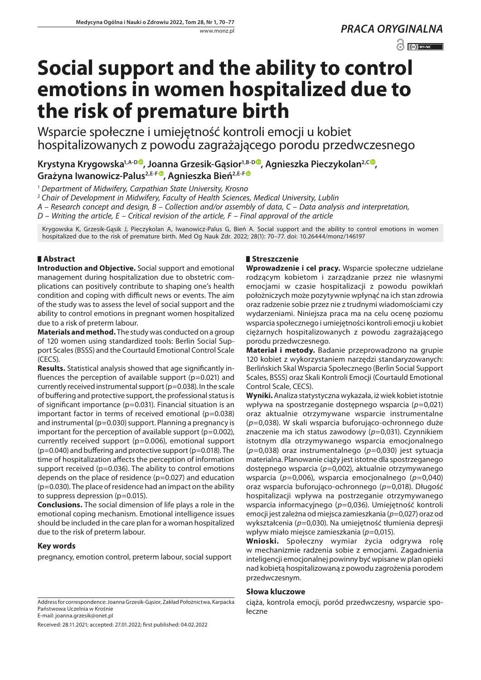## $\odot$   $\odot$  BY-NC

# **Social support and the ability to control emotions in women hospitalized due to the risk of premature birth**

Wsparcie społeczne i umiejętność kontroli emocji u kobiet hospitalizowanych z powodu zagrażającego porodu przedwczesnego

Krystyna Krygowska<sup>1,A-D®</sup>, Joanna Grzesik-Gąsior<sup>1,B-D®</sup>, Agnieszka Pieczykolan<sup>2,C®</sup>, **Grażyna Iwanowicz-Palus2,E-F [,](https://orcid.org/0000-0002-1617-4764) Agnieszka Bień2,E-F**

<sup>1</sup> *Department of Midwifery, Carpathian State University, Krosno*

<sup>2</sup> *Chair of Development in Midwifery, Faculty of Health Sciences, Medical University, Lublin*

*A – Research concept and design, B – Collection and/or assembly of data, C – Data analysis and interpretation,* 

*D – Writing the article, E – Critical revision of the article, F – Final approval of the article*

Krygowska K, Grzesik-Gąsik J, Pieczykolan A, Iwanowicz-Palus G, Bień A. Social support and the ability to control emotions in women hospitalized due to the risk of premature birth. Med Og Nauk Zdr. 2022; 28(1): 70–77. doi: 10.26444/monz/146197

## **Abstract**

**Introduction and Objective.** Social support and emotional management during hospitalization due to obstetric complications can positively contribute to shaping one's health condition and coping with difficult news or events. The aim of the study was to assess the level of social support and the ability to control emotions in pregnant women hospitalized due to a risk of preterm labour.

**Materials and method.** The study was conducted on a group of 120 women using standardized tools: Berlin Social Support Scales (BSSS) and the Courtauld Emotional Control Scale (CECS).

**Results.** Statistical analysis showed that age significantly influences the perception of available support ( $p=0.021$ ) and currently received instrumental support (p=0.038). In the scale of buffering and protective support, the professional status is of significant importance (p=0.031). Financial situation is an important factor in terms of received emotional (p=0.038) and instrumental (p=0.030) support. Planning a pregnancy is important for the perception of available support  $(p=0.002)$ , currently received support (p=0.006), emotional support  $(p=0.040)$  and buffering and protective support ( $p=0.018$ ). The time of hospitalization affects the perception of information support received ( $p=0.036$ ). The ability to control emotions depends on the place of residence ( $p=0.027$ ) and education (p=0.030). The place of residence had an impact on the ability to suppress depression (p=0.015).

**Conclusions.** The social dimension of life plays a role in the emotional coping mechanism. Emotional intelligence issues should be included in the care plan for a woman hospitalized due to the risk of preterm labour.

## **Key words**

pregnancy, emotion control, preterm labour, social support

#### Address for correspondence: Joanna Grzesik-Gąsior, Zakład Położnictwa, Karpacka Państwowa Uczelnia w Krośnie E-mail: joanna.grzesik@onet.pl

Received: 28.11.2021; accepted: 27.01.2022; first published: 04.02.2022

## **Streszczenie**

**Wprowadzenie i cel pracy.** Wsparcie społeczne udzielane rodzącym kobietom i zarządzanie przez nie własnymi emocjami w czasie hospitalizacji z powodu powikłań położniczych może pozytywnie wpłynąć na ich stan zdrowia oraz radzenie sobie przez nie z trudnymi wiadomościami czy wydarzeniami. Niniejsza praca ma na celu ocenę poziomu wsparcia społecznego i umiejętności kontroli emocji u kobiet ciężarnych hospitalizowanych z powodu zagrażającego porodu przedwczesnego.

**Materiał i metody.** Badanie przeprowadzono na grupie 120 kobiet z wykorzystaniem narzędzi standaryzowanych: Berlińskich Skal Wsparcia Społecznego (Berlin Social Support Scales, BSSS) oraz Skali Kontroli Emocji (Courtauld Emotional Control Scale, CECS).

**Wyniki.** Analiza statystyczna wykazała, iż wiek kobiet istotnie wpływa na spostrzeganie dostępnego wsparcia (*p*=0,021) oraz aktualnie otrzymywane wsparcie instrumentalne (*p*=0,038). W skali wsparcia buforująco-ochronnego duże znaczenie ma ich status zawodowy (*p*=0,031). Czynnikiem istotnym dla otrzymywanego wsparcia emocjonalnego (*p*=0,038) oraz instrumentalnego (*p*=0,030) jest sytuacja materialna. Planowanie ciąży jest istotne dla spostrzeganego dostępnego wsparcia (*p*=0,002), aktualnie otrzymywanego wsparcia (*p*=0,006), wsparcia emocjonalnego (*p*=0,040) oraz wsparcia buforująco-ochronnego (*p*=0,018). Długość hospitalizacji wpływa na postrzeganie otrzymywanego wsparcia informacyjnego (*p*=0,036). Umiejętność kontroli emocji jest zależna od miejsca zamieszkania (*p*=0,027) oraz od wykształcenia (*p*=0,030). Na umiejętność tłumienia depresji wpływ miało miejsce zamieszkania (*p*=0,015).

**Wnioski.** Społeczny wymiar życia odgrywa rolę w mechanizmie radzenia sobie z emocjami. Zagadnienia inteligencji emocjonalnej powinny być wpisane w plan opieki nad kobietą hospitalizowaną z powodu zagrożenia porodem przedwczesnym.

## **Słowa kluczowe**

ciąża, kontrola emocji, poród przedwczesny, wsparcie społeczne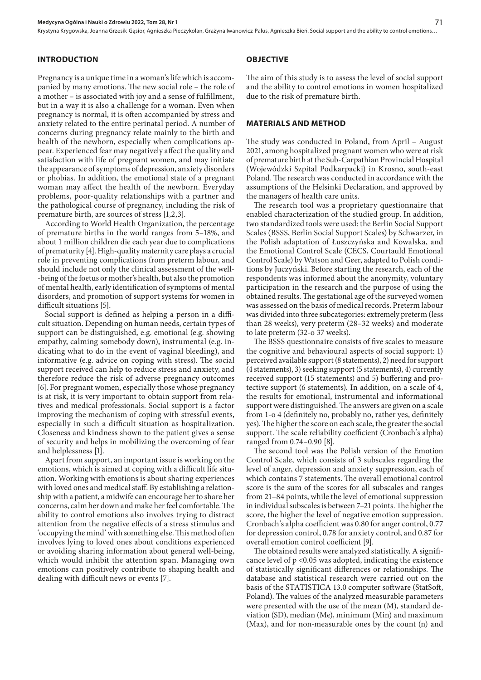Krystyna Krygowska, Joanna Grzesik-Gąsior, Agnieszka Pieczykolan, Grażyna Iwanowicz-Palus, Agnieszka Bień. Social support and the ability to control emotions.

## **INTRODUCTION**

Pregnancy is a unique time in a woman's life which is accompanied by many emotions. The new social role – the role of a mother – is associated with joy and a sense of fulfillment, but in a way it is also a challenge for a woman. Even when pregnancy is normal, it is often accompanied by stress and anxiety related to the entire perinatal period. A number of concerns during pregnancy relate mainly to the birth and health of the newborn, especially when complications appear. Experienced fear may negatively affect the quality and satisfaction with life of pregnant women, and may initiate the appearance of symptoms of depression, anxiety disorders or phobias. In addition, the emotional state of a pregnant woman may affect the health of the newborn. Everyday problems, poor-quality relationships with a partner and the pathological course of pregnancy, including the risk of premature birth, are sources of stress [1,2,3].

According to World Health Organization, the percentage of premature births in the world ranges from 5–18%, and about 1 million children die each year due to complications of prematurity [4]. High-quality maternity care plays a crucial role in preventing complications from preterm labour, and should include not only the clinical assessment of the well- -being of the foetus or mother's health, but also the promotion of mental health, early identification of symptoms of mental disorders, and promotion of support systems for women in difficult situations [5].

Social support is defined as helping a person in a difficult situation. Depending on human needs, certain types of support can be distinguished, e.g. emotional (e.g. showing empathy, calming somebody down), instrumental (e.g. indicating what to do in the event of vaginal bleeding), and informative (e.g. advice on coping with stress). The social support received can help to reduce stress and anxiety, and therefore reduce the risk of adverse pregnancy outcomes [6]. For pregnant women, especially those whose pregnancy is at risk, it is very important to obtain support from relatives and medical professionals. Social support is a factor improving the mechanism of coping with stressful events, especially in such a difficult situation as hospitalization. Closeness and kindness shown to the patient gives a sense of security and helps in mobilizing the overcoming of fear and helplessness [1].

Apart from support, an important issue is working on the emotions, which is aimed at coping with a difficult life situation. Working with emotions is about sharing experiences with loved ones and medical staff. By establishing a relationship with a patient, a midwife can encourage her to share her concerns, calm her down and make her feel comfortable. The ability to control emotions also involves trying to distract attention from the negative effects of a stress stimulus and 'occupying the mind' with something else. This method often involves lying to loved ones about conditions experienced or avoiding sharing information about general well-being, which would inhibit the attention span. Managing own emotions can positively contribute to shaping health and dealing with difficult news or events [7].

#### **OBJECTIVE**

The aim of this study is to assess the level of social support and the ability to control emotions in women hospitalized due to the risk of premature birth.

## **MATERIALS AND METHOD**

The study was conducted in Poland, from April – August 2021, among hospitalized pregnant women who were at risk of premature birth at the Sub-Carpathian Provincial Hospital (Wojewódzki Szpital Podkarpacki) in Krosno, south-east Poland. The research was conducted in accordance with the assumptions of the Helsinki Declaration, and approved by the managers of health care units.

The research tool was a proprietary questionnaire that enabled characterization of the studied group. In addition, two standardized tools were used: the Berlin Social Support Scales (BSSS, Berlin Social Support Scales) by Schwarzer, in the Polish adaptation of Łuszczyńska and Kowalska, and the Emotional Control Scale (CECS, Courtauld Emotional Control Scale) by Watson and Geer, adapted to Polish conditions by Juczyński. Before starting the research, each of the respondents was informed about the anonymity, voluntary participation in the research and the purpose of using the obtained results. The gestational age of the surveyed women was assessed on the basis of medical records. Preterm labour was divided into three subcategories: extremely preterm (less than 28 weeks), very preterm (28–32 weeks) and moderate to late preterm (32-o 37 weeks).

The BSSS questionnaire consists of five scales to measure the cognitive and behavioural aspects of social support: 1) perceived available support (8 statements), 2) need for support (4 statements), 3) seeking support (5 statements), 4) currently received support (15 statements) and 5) buffering and protective support (6 statements). In addition, on a scale of 4, the results for emotional, instrumental and informational support were distinguished. The answers are given on a scale from 1-o 4 (definitely no, probably no, rather yes, definitely yes). The higher the score on each scale, the greater the social support. The scale reliability coefficient (Cronbach's alpha) ranged from 0.74–0.90 [8].

The second tool was the Polish version of the Emotion Control Scale, which consists of 3 subscales regarding the level of anger, depression and anxiety suppression, each of which contains 7 statements. The overall emotional control score is the sum of the scores for all subscales and ranges from 21–84 points, while the level of emotional suppression in individual subscales is between 7–21 points. The higher the score, the higher the level of negative emotion suppression. Cronbach's alpha coefficient was 0.80 for anger control, 0.77 for depression control, 0.78 for anxiety control, and 0.87 for overall emotion control coefficient [9].

The obtained results were analyzed statistically. A significance level of  $p < 0.05$  was adopted, indicating the existence of statistically significant differences or relationships. The database and statistical research were carried out on the basis of the STATISTICA 13.0 computer software (StatSoft, Poland). The values of the analyzed measurable parameters were presented with the use of the mean (M), standard deviation (SD), median (Me), minimum (Min) and maximum (Max), and for non-measurable ones by the count (n) and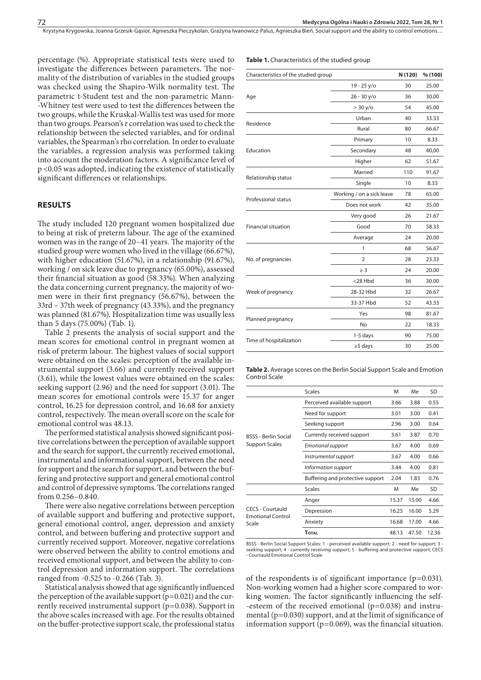percentage (%). Appropriate statistical tests were used to investigate the differences between parameters. The normality of the distribution of variables in the studied groups was checked using the Shapiro-Wilk normality test. The parametric t-Student test and the non-parametric Mann- -Whitney test were used to test the differences between the two groups, while the Kruskal-Wallis test was used for more than two groups. Pearson's r correlation was used to check the relationship between the selected variables, and for ordinal variables, the Spearman's rho correlation. In order to evaluate the variables, a regression analysis was performed taking into account the moderation factors. A significance level of p <0.05 was adopted, indicating the existence of statistically significant differences or relationships.

#### **RESULTS**

The study included 120 pregnant women hospitalized due to being at risk of preterm labour. The age of the examined women was in the range of 20–41 years. The majority of the studied group were women who lived in the village (66.67%), with higher education (51.67%), in a relationship (91.67%), working / on sick leave due to pregnancy (65.00%), assessed their financial situation as good (58.33%). When analyzing the data concerning current pregnancy, the majority of women were in their first pregnancy (56.67%), between the 33rd – 37th week of pregnancy (43.33%), and the pregnancy was planned (81.67%). Hospitalization time was usually less than 5 days (75.00%) (Tab. 1).

Table 2 presents the analysis of social support and the mean scores for emotional control in pregnant women at risk of preterm labour. The highest values of social support were obtained on the scales: perception of the available instrumental support (3.66) and currently received support (3.61), while the lowest values were obtained on the scales: seeking support (2.96) and the need for support (3.01). The mean scores for emotional controls were 15.37 for anger control, 16.25 for depression control, and 16.68 for anxiety control, respectively. The mean overall score on the scale for emotional control was 48.13.

The performed statistical analysis showed significant positive correlations between the perception of available support and the search for support, the currently received emotional, instrumental and informational support, between the need for support and the search for support, and between the buffering and protective support and general emotional control and control of depressive symptoms. The correlations ranged from 0.256–0.840.

There were also negative correlations between perception of available support and buffering and protective support, general emotional control, anger, depression and anxiety control, and between buffering and protective support and currently received support. Moreover, negative correlations were observed between the ability to control emotions and received emotional support, and between the ability to control depression and information support. The correlations ranged from -0.525 to -0.266 (Tab. 3).

Statistical analysis showed that age significantly influenced the perception of the available support  $(p=0.021)$  and the currently received instrumental support (p=0.038). Support in the above scales increased with age. For the results obtained on the buffer-protective support scale, the professional status

#### **Table 1.** Characteristics of the studied group

| Characteristics of the studied group                                                                                         |                           | N (120) | % (100) |
|------------------------------------------------------------------------------------------------------------------------------|---------------------------|---------|---------|
|                                                                                                                              | 19 - 25 y/o               | 30      | 25.00   |
| Age                                                                                                                          | $26 - 30 y/o$             | 36      | 30.00   |
|                                                                                                                              | > 30 y/o                  | 54      | 45.00   |
|                                                                                                                              | Urban                     | 40      | 33.33   |
|                                                                                                                              | Rural                     | 80      | 66.67   |
|                                                                                                                              | Primary                   | 10      | 8.33    |
| Education                                                                                                                    | Secondary                 | 48      | 40,00   |
|                                                                                                                              | Higher                    | 62      | 51.67   |
|                                                                                                                              | Married                   | 110     | 91.67   |
|                                                                                                                              | Single                    | 10      | 8.33    |
|                                                                                                                              | Working / on a sick leave | 78      | 65.00   |
|                                                                                                                              | Does not work             | 42      | 35.00   |
|                                                                                                                              | Very good                 | 26      | 21.67   |
| <b>Financial situation</b>                                                                                                   | Good                      | 70      | 58.33   |
|                                                                                                                              | Average                   | 24      | 20.00   |
|                                                                                                                              | 1                         | 68      | 56.67   |
| No. of pregnancies                                                                                                           | 2                         | 28      | 23.33   |
|                                                                                                                              | $\geq$ 3                  | 24      | 20.00   |
|                                                                                                                              | <28 Hbd                   | 36      | 30.00   |
| Residence<br>Relationship status<br>Professional status<br>Week of pregnancy<br>Planned pregnancy<br>Time of hospitalization | 28-32 Hbd                 | 32      | 26.67   |
|                                                                                                                              | 33-37 Hbd                 | 52      | 43.33   |
|                                                                                                                              | Yes                       | 98      | 81.67   |
|                                                                                                                              | <b>No</b>                 | 22      | 18.33   |
|                                                                                                                              | 1-5 days                  | 90      | 75.00   |
|                                                                                                                              | $\geq$ 5 days             | 30      | 25.00   |

**Table 2.** Average scores on the Berlin Social Support Scale and Emotion Control Scale

|                                   | <b>Scales</b>                    | M     | Me    | SD        |
|-----------------------------------|----------------------------------|-------|-------|-----------|
|                                   | Perceived available support      | 3.66  | 3.88  | 0.55      |
|                                   | Need for support                 | 3.01  | 3.00  | 0.41      |
|                                   | Seeking support                  | 2.96  | 3.00  | 0.64      |
| <b>BSSS - Berlin Social</b>       | Currently received support       | 3.61  | 3.87  | 0.70      |
| Support Scales                    | <b>Emotional support</b>         | 3.67  | 4.00  | 0.69      |
|                                   | Instrumental support             | 3.67  | 4.00  | 0.66      |
|                                   | Information support              | 3.44  | 4.00  | 0.81      |
|                                   | Buffering and protective support | 2.04  | 1.83  | 0.76      |
|                                   | <b>Scales</b>                    | M     | Me    | <b>SD</b> |
|                                   | Anger                            | 15.37 | 15.00 | 4.66      |
| <b>CECS - Courtauld</b>           | Depression                       | 16.25 | 16.00 | 5.29      |
| <b>Emotional Control</b><br>Scale | Anxiety                          | 16.68 | 17.00 | 4.66      |
|                                   | <b>TOTAL</b>                     | 48.13 | 47.50 | 12.36     |

BSSS - Berlin Social Support Scales: 1 - perceived available support; 2 - need for support; 3 seeking support; 4 - currently receiving support; 5 - buffering and protective support; CECS - Courtauld Emotional Control Scale

of the respondents is of significant importance (p=0.031). Non-working women had a higher score compared to working women. The factor significantly influencing the self- -esteem of the received emotional (p=0.038) and instrumental (p=0.030) support, and at the limit of significance of information support ( $p=0.069$ ), was the financial situation.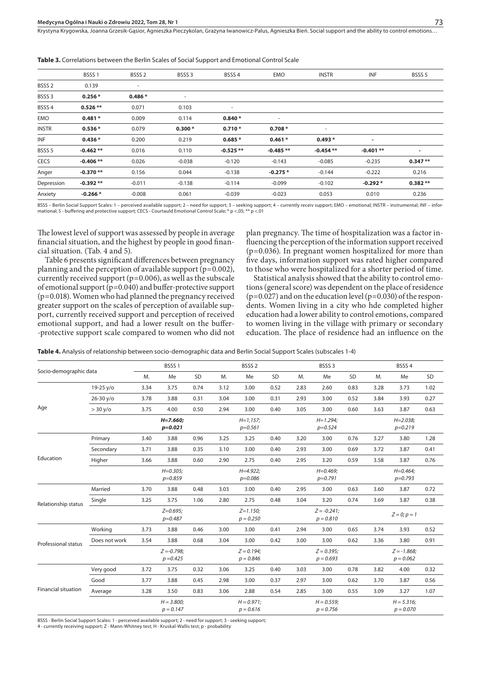Krystyna Krygowska, Joanna Grzesik-Gąsior, Agnieszka Pieczykolan, Grażyna Iwanowicz-Palus, Agnieszka Bień. Social support and the ability to control emotions.

|                   | BSSS <sub>1</sub> | BSSS <sub>2</sub> | BSSS <sub>3</sub>        | BSSS <sub>4</sub> | EMO                      | <b>INSTR</b>             | INF        | BSSS <sub>5</sub> |
|-------------------|-------------------|-------------------|--------------------------|-------------------|--------------------------|--------------------------|------------|-------------------|
| BSSS <sub>2</sub> | 0.139             | ۰                 |                          |                   |                          |                          |            |                   |
| BSSS <sub>3</sub> | $0.256*$          | $0.486*$          | $\overline{\phantom{a}}$ |                   |                          |                          |            |                   |
| BSSS 4            | $0.526**$         | 0.071             | 0.103                    | ٠                 |                          |                          |            |                   |
| EMO               | $0.481*$          | 0.009             | 0.114                    | $0.840*$          | $\overline{\phantom{a}}$ |                          |            |                   |
| <b>INSTR</b>      | $0.536*$          | 0.079             | $0.300*$                 | $0.710*$          | $0.708*$                 | $\overline{\phantom{a}}$ |            |                   |
| INF               | $0.436*$          | 0.200             | 0.219                    | $0.685*$          | $0.461*$                 | $0.493*$                 | ٠          |                   |
| BSSS <sub>5</sub> | $-0.462**$        | 0.016             | 0.110                    | $-0.525**$        | $-0.485**$               | $-0.454**$               | $-0.401**$ | ٠                 |
| <b>CECS</b>       | $-0.406**$        | 0.026             | $-0.038$                 | $-0.120$          | $-0.143$                 | $-0.085$                 | $-0.235$   | $0.347**$         |
| Anger             | $-0.370**$        | 0.156             | 0.044                    | $-0.138$          | $-0.275*$                | $-0.144$                 | $-0.222$   | 0.216             |
| Depression        | $-0.392**$        | $-0.011$          | $-0.138$                 | $-0.114$          | $-0.099$                 | $-0.102$                 | $-0.292*$  | $0.382**$         |
| Anxiety           | $-0.266*$         | $-0.008$          | 0.061                    | $-0.039$          | $-0.023$                 | 0.053                    | 0.010      | 0.236             |

**Table 3.** Correlations between the Berlin Scales of Social Support and Emotional Control Scale

BSSS – Berlin Social Support Scales: 1 – perceived available support; 2 – need for support; 3 – seeking support; 4 – currently receiv support; EMO – emotional; INSTR – instrumental; INF – infor<br>mational; 5 - buffering and

The lowest level of support was assessed by people in average financial situation, and the highest by people in good financial situation. (Tab. 4 and 5).

Table 6 presents significant differences between pregnancy planning and the perception of available support (p=0.002), currently received support ( $p=0.006$ ), as well as the subscale of emotional support (p=0.040) and buffer-protective support (p=0.018). Women who had planned the pregnancy received greater support on the scales of perception of available support, currently received support and perception of received emotional support, and had a lower result on the buffer- -protective support scale compared to women who did not

plan pregnancy. The time of hospitalization was a factor influencing the perception of the information support received (p=0.036). In pregnant women hospitalized for more than five days, information support was rated higher compared to those who were hospitalized for a shorter period of time.

Statistical analysis showed that the ability to control emotions (general score) was dependent on the place of residence  $(p=0.027)$  and on the education level  $(p=0.030)$  of the respondents. Women living in a city who hde completed higher education had a lower ability to control emotions, compared to women living in the village with primary or secondary education. The place of residence had an influence on the

**Table 4.** Analysis of relationship between socio-demographic data and Berlin Social Support Scales (subscales 1-4)

| Socio-demographic data     |               |                              | BSSS <sub>1</sub>           |      |      | BSSS <sub>2</sub>            |      |      | BSSS <sub>3</sub>             |      | BSSS <sub>4</sub>         |                             |      |  |
|----------------------------|---------------|------------------------------|-----------------------------|------|------|------------------------------|------|------|-------------------------------|------|---------------------------|-----------------------------|------|--|
|                            |               | M.                           | Me                          | SD   | M.   | Me                           | SD   | M.   | Me                            | SD   | M.                        | Me                          | SD   |  |
|                            | $19-25 y/o$   | 3.34                         | 3.75                        | 0.74 | 3.12 | 3.00                         | 0.52 | 2.83 | 2.60                          | 0.83 | 3.28                      | 3.73                        | 1.02 |  |
|                            | $26 - 30 y/o$ | 3.78                         | 3.88                        | 0.31 | 3.04 | 3.00                         | 0.31 | 2.93 | 3.00                          | 0.52 | 3.84                      | 3.93                        | 0.27 |  |
| Age                        | > 30 y/o      | 3.75                         | 4.00                        | 0.50 | 2.94 | 3.00                         | 0.40 | 3.05 | 3.00                          | 0.60 | 3.63                      | 3.87                        | 0.63 |  |
|                            |               |                              | $H = 7.660$<br>$p = 0.021$  |      |      | $H = 1, 157;$<br>$p=0.561$   |      |      | $H = 1.294$<br>$p = 0.524$    |      |                           | $H = 2.038$<br>$p = 0.219$  |      |  |
|                            | Primary       | 3.40                         | 3.88                        | 0.96 | 3.25 | 3.25                         | 0.40 | 3.20 | 3.00                          | 0.76 | 3.27                      | 3.80                        | 1.28 |  |
| Education                  | Secondary     | 3.71                         | 3.88                        | 0.35 | 3.10 | 3.00                         | 0.40 | 2.93 | 3.00                          | 0.69 | 3.72                      | 3.87                        | 0.41 |  |
|                            | Higher        | 3.66                         | 3.88                        | 0.60 | 2.90 | 2.75                         | 0.40 | 2.95 | 3.20                          | 0.59 | 3.58                      | 3.87                        | 0.76 |  |
|                            |               | $H = 0.305$ ;<br>$p = 0.859$ |                             |      |      | $H = 4.922$ ;<br>$p = 0.086$ |      |      | $H = 0.469$ ;<br>$p=0.791$    |      | $H = 0.464;$<br>$p=0.793$ |                             |      |  |
|                            | Married       | 3.70                         | 3.88                        | 0.48 | 3.03 | 3.00                         | 0.40 | 2.95 | 3.00                          | 0.63 | 3.60                      | 3.87                        | 0.72 |  |
| Relationship status        | Single        | 3.25                         | 3.75                        | 1.06 | 2.80 | 2.75                         | 0.48 | 3.04 | 3.20                          | 0.74 | 3.69                      | 3.87                        | 0.38 |  |
|                            |               | $Z=0.695;$<br>$p = 0.487$    |                             |      |      | $Z = 1.150;$<br>$p = 0.250$  |      |      | $Z = -0.241$ ;<br>$p = 0.810$ |      |                           | $Z = 0; p = 1$              |      |  |
|                            | Working       | 3.73                         | 3.88                        | 0.46 | 3.00 | 3.00                         | 0.41 | 2.94 | 3.00                          | 0.65 | 3.74                      | 3.93                        | 0.52 |  |
| Professional status        | Does not work | 3.54                         | 3.88                        | 0.68 | 3.04 | 3.00                         | 0.42 | 3.00 | 3.00                          | 0.62 | 3.36                      | 3.80                        | 0.91 |  |
|                            |               |                              | $Z = -0.798$<br>$p = 0.425$ |      |      | $Z = 0.194$<br>$p = 0.846$   |      |      | $Z = 0.395$<br>$p = 0.693$    |      |                           | $Z = -1.868$<br>$p = 0.062$ |      |  |
|                            | Very good     | 3.72                         | 3.75                        | 0.32 | 3.06 | 3.25                         | 0.40 | 3.03 | 3.00                          | 0.78 | 3.82                      | 4.00                        | 0.32 |  |
|                            | Good          | 3.77                         | 3.88                        | 0.45 | 2.98 | 3.00                         | 0.37 | 2.97 | 3.00                          | 0.62 | 3.70                      | 3.87                        | 0.56 |  |
| <b>Financial situation</b> | Average       | 3.28                         | 3.50                        | 0.83 | 3.06 | 2.88                         | 0.54 | 2.85 | 3.00                          | 0.55 | 3.09                      | 3.27                        | 1.07 |  |
|                            |               | $H = 3.800;$<br>$p = 0.147$  |                             |      |      | $H = 0.971$ ;<br>$p = 0.616$ |      |      | $H = 0.559;$<br>$p = 0.756$   |      |                           | $H = 5.316;$<br>$p = 0.070$ |      |  |

BSSS - Berlin Social Support Scales: 1 - perceived available support; 2 - need for support; 3 - seeking support;

4 - currently receiving support; Z - Mann-Whitney test; H - Kruskal-Wallis test; p - probability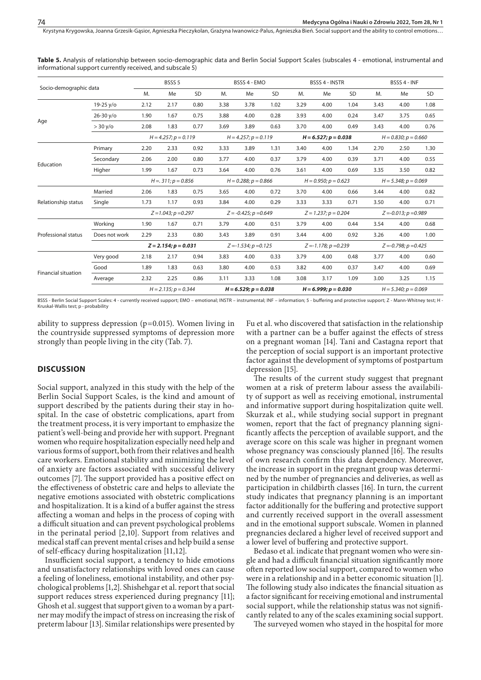| Socio-demographic data     |               | BSSS <sub>5</sub>         |                           |      |                         | BSSS 4 - EMO              |      |                        | <b>BSSS 4 - INSTR</b>   |      | BSSS 4 - INF               |                         |      |  |
|----------------------------|---------------|---------------------------|---------------------------|------|-------------------------|---------------------------|------|------------------------|-------------------------|------|----------------------------|-------------------------|------|--|
|                            | M.            | Me                        | SD                        | M.   | Me                      | SD                        | M.   | Me                     | <b>SD</b>               | M.   | Me                         | SD                      |      |  |
|                            | $19-25 y/o$   | 2.12                      | 2.17                      | 0.80 | 3.38                    | 3.78                      | 1.02 | 3.29                   | 4.00                    | 1.04 | 3.43                       | 4.00                    | 1.08 |  |
|                            | $26 - 30 y/o$ | 1.90                      | 1.67                      | 0.75 | 3.88                    | 4.00                      | 0.28 | 3.93                   | 4.00                    | 0.24 | 3.47                       | 3.75                    | 0.65 |  |
| Age                        | > 30 y/o      | 2.08                      | 1.83                      | 0.77 | 3.69                    | 3.89                      | 0.63 | 3.70                   | 4.00                    | 0.49 | 3.43                       | 4.00                    | 0.76 |  |
|                            |               | $H = 4.257$ ; $p = 0.119$ |                           |      |                         | $H = 4.257$ ; $p = 0.119$ |      |                        | $H = 6.527; p = 0.038$  |      | $H = 0.830; p = 0.660$     |                         |      |  |
|                            | Primary       | 2.20                      | 2.33                      | 0.92 | 3.33                    | 3.89                      | 1.31 | 3.40                   | 4.00                    | 1.34 | 2.70                       | 2.50                    | 1.30 |  |
| Education                  | Secondary     | 2.06                      | 2.00                      | 0.80 | 3.77                    | 4.00                      | 0.37 | 3.79                   | 4.00                    | 0.39 | 3.71                       | 4.00                    | 0.55 |  |
|                            | Higher        | 1.99                      | 1.67                      | 0.73 | 3.64                    | 4.00                      | 0.76 | 3.61                   | 4.00                    | 0.69 | 3.35                       | 3.50                    | 0.82 |  |
|                            |               | $H = 311$ ; $p = 0.856$   |                           |      | $H = 0.288; p = 0.866$  |                           |      |                        | $H = 0.950; p = 0.623$  |      | $H = 5.348; p = 0.069$     |                         |      |  |
|                            | Married       | 2.06                      | 1.83                      | 0.75 | 3.65                    | 4.00                      | 0.72 | 3.70                   | 4.00                    | 0.66 | 3.44                       | 4.00                    | 0.82 |  |
| Relationship status        | Single        | 1.73                      | 1.17                      | 0.93 | 3.84                    | 4.00                      | 0.29 | 3.33                   | 3.33                    | 0.71 | 3.50                       | 4.00                    | 0.71 |  |
|                            |               |                           | $Z = 1.043; p = 0.297$    |      | $Z = -0.425; p = 0.649$ |                           |      | $Z = 1.237; p = 0.204$ |                         |      | $Z = -0.013$ ; $p = 0.989$ |                         |      |  |
|                            | Working       | 1.90                      | 1.67                      | 0.71 | 3.79                    | 4.00                      | 0.51 | 3.79                   | 4.00                    | 0.44 | 3.54                       | 4.00                    | 0.68 |  |
| Professional status        | Does not work | 2.29                      | 2.33                      | 0.80 | 3.43                    | 3.89                      | 0.91 | 3.44                   | 4.00                    | 0.92 | 3.26                       | 4.00                    | 1.00 |  |
|                            |               |                           | $Z = 2.154; p = 0.031$    |      |                         | $Z = -1.534; p = 0.125$   |      |                        | $Z = -1.178; p = 0.239$ |      |                            | $Z = -0.798; p = 0.425$ |      |  |
|                            | Very good     | 2.18                      | 2.17                      | 0.94 | 3.83                    | 4.00                      | 0.33 | 3.79                   | 4.00                    | 0.48 | 3.77                       | 4.00                    | 0.60 |  |
| <b>Financial situation</b> | Good          | 1.89                      | 1.83                      | 0.63 | 3.80                    | 4.00                      | 0.53 | 3.82                   | 4.00                    | 0.37 | 3.47                       | 4.00                    | 0.69 |  |
|                            | Average       | 2.32                      | 2.25                      | 0.86 | 3.11                    | 3.33                      | 1.08 | 3.08                   | 3.17                    | 1.09 | 3.00                       | 3.25                    | 1.15 |  |
|                            |               |                           | $H = 2.135$ ; $p = 0.344$ |      |                         | $H = 6.529; p = 0.038$    |      |                        | $H = 6.999; p = 0.030$  |      |                            | $H = 5.340; p = 0.069$  |      |  |

**Table 5.** Analysis of relationship between socio-demographic data and Berlin Social Support Scales (subscales 4 - emotional, instrumental and informational support currently received, and subscale 5)

BSSS - Berlin Social Support Scales: 4 - currently received support; EMO – emotional; INSTR – instrumental; INF – information; 5 - buffering and protective support; Z - Mann-Whitney test; H -Kruskal-Wallis test; p - probability

ability to suppress depression  $(p=0.015)$ . Women living in the countryside suppressed symptoms of depression more strongly than people living in the city (Tab. 7).

## **DISCUSSION**

Social support, analyzed in this study with the help of the Berlin Social Support Scales, is the kind and amount of support described by the patients during their stay in hospital. In the case of obstetric complications, apart from the treatment process, it is very important to emphasize the patient's well-being and provide her with support. Pregnant women who require hospitalization especially need help and various forms of support, both from their relatives and health care workers. Emotional stability and minimizing the level of anxiety are factors associated with successful delivery outcomes [7]. The support provided has a positive effect on the effectiveness of obstetric care and helps to alleviate the negative emotions associated with obstetric complications and hospitalization. It is a kind of a buffer against the stress affecting a woman and helps in the process of coping with a difficult situation and can prevent psychological problems in the perinatal period [2,10]. Support from relatives and medical staff can prevent mental crises and help build a sense of self-efficacy during hospitalization [11,12].

Insufficient social support, a tendency to hide emotions and unsatisfactory relationships with loved ones can cause a feeling of loneliness, emotional instability, and other psychological problems [1,2]. Shishehgar et al. report that social support reduces stress experienced during pregnancy [11]; Ghosh et al. suggest that support given to a woman by a partner may modify the impact of stress on increasing the risk of preterm labour [13]. Similar relationships were presented by

Fu et al. who discovered that satisfaction in the relationship with a partner can be a buffer against the effects of stress on a pregnant woman [14]. Tani and Castagna report that the perception of social support is an important protective factor against the development of symptoms of postpartum depression [15].

The results of the current study suggest that pregnant women at a risk of preterm labour assess the availability of support as well as receiving emotional, instrumental and informative support during hospitalization quite well. Skurzak et al., while studying social support in pregnant women, report that the fact of pregnancy planning significantly affects the perception of available support, and the average score on this scale was higher in pregnant women whose pregnancy was consciously planned [16]. The results of own research confirm this data dependency. Moreover, the increase in support in the pregnant group was determined by the number of pregnancies and deliveries, as well as participation in childbirth classes [16]. In turn, the current study indicates that pregnancy planning is an important factor additionally for the buffering and protective support and currently received support in the overall assessment and in the emotional support subscale. Women in planned pregnancies declared a higher level of received support and a lower level of buffering and protective support.

Bedaso et al. indicate that pregnant women who were single and had a difficult financial situation significantly more often reported low social support, compared to women who were in a relationship and in a better economic situation [1]. The following study also indicates the financial situation as a factor significant for receiving emotional and instrumental social support, while the relationship status was not significantly related to any of the scales examining social support.

The surveyed women who stayed in the hospital for more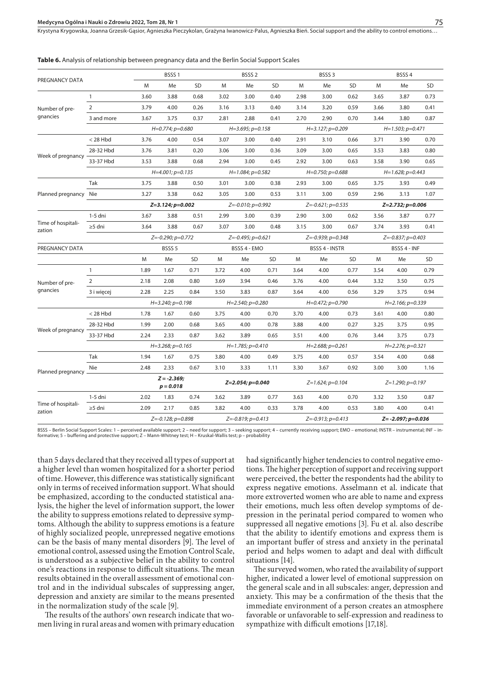Krystyna Krygowska, Joanna Grzesik-Gąsior, Agnieszka Pieczykolan, Grażyna Iwanowicz-Palus, Agnieszka Bień. Social support and the ability to control emotions.

**Table 6.** Analysis of relationship between pregnancy data and the Berlin Social Support Scales

| PREGNANCY DATA               |                |                   | BSSS <sub>1</sub>            |              |                     | BSSS <sub>2</sub>          |                |      | BSSS <sub>3</sub>       |              | BSSS <sub>4</sub>       |                         |           |  |
|------------------------------|----------------|-------------------|------------------------------|--------------|---------------------|----------------------------|----------------|------|-------------------------|--------------|-------------------------|-------------------------|-----------|--|
|                              |                | M                 | Me                           | <b>SD</b>    | M                   | Me                         | <b>SD</b>      | M    | Me                      | SD           | M                       | Me                      | <b>SD</b> |  |
|                              | $\mathbf{1}$   | 3.60              | 3.88                         | 0.68         | 3.02                | 3.00                       | 0.40           | 2.98 | 3.00                    | 0.62         | 3.65                    | 3.87                    | 0.73      |  |
| Number of pre-               | $\overline{2}$ | 3.79              | 4.00                         | 0.26         | 3.16                | 3.13                       | 0.40           | 3.14 | 3.20                    | 0.59         | 3.66                    | 3.80                    | 0.41      |  |
| gnancies                     | 3 and more     | 3.67              | 3.75                         | 0.37         | 2.81                | 2.88                       | 0.41           | 2.70 | 2.90                    | 0.70         | 3.44                    | 3.80                    | 0.87      |  |
|                              |                |                   | $H=0.774$ ; $p=0.680$        |              |                     | $H=3.695; p=0.158$         |                |      | $H=3.127; p=0.209$      |              |                         | $H=1.503; p=0.471$      |           |  |
|                              | $<$ 28 Hbd     | 3.76              | 4.00                         | 0.54         | 3.07                | 3.00                       | 0.40           | 2.91 | 3.10                    | 0.66         | 3.71                    | 3.90                    | 0.70      |  |
| Week of pregnancy            | 28-32 Hbd      | 3.76              | 3.81                         | 0.20         | 3.06                | 3.00                       | 0.36           | 3.09 | 3.00                    | 0.65         | 3.53                    | 3.83                    | 0.80      |  |
|                              | 33-37 Hbd      | 3.53              | 3.88                         | 0.68         | 2.94                | 3.00                       | 0.45           | 2.92 | 3.00                    | 0.63         | 3.58                    | 3.90                    | 0.65      |  |
|                              |                |                   | $H=4.001; p=0.135$           |              |                     | $H=1.084; p=0.582$         |                |      | $H=0.750; p=0.688$      |              |                         | $H=1.628; p=0.443$      |           |  |
|                              | Tak            | 3.75              | 3.88                         | 0.50         | 3.01                | 3.00                       | 0.38           | 2.93 | 3.00                    | 0.65         | 3.75                    | 3.93                    | 0.49      |  |
| Planned pregnancy Nie        |                | 3.27              | 3.38                         | 0.62         | 3.05                | 3.00                       | 0.53           | 3.11 | 3.00                    | 0.59         | 2.96                    | 3.13                    | 1.07      |  |
|                              |                | Z=3.124; p=0.002  |                              |              | Z=-0.010; p=0.992   |                            |                |      | $Z = -0.621; p = 0.535$ |              |                         | Z=2.732; p=0.006        |           |  |
|                              | 1-5 dni        | 3.67              | 3.88                         | 0.51         | 2.99                | 3.00                       | 0.39           | 2.90 | 3.00                    | 0.62         | 3.56                    | 3.87                    | 0.77      |  |
| Time of hospitali-<br>zation | $\geq$ 5 dni   | 3.64              | 3.88                         | 0.67         | 3.07                | 3.00                       | 0.48           | 3.15 | 3.00                    | 0.67         | 3.74                    | 3.93                    | 0.41      |  |
|                              |                | Z=-0.290; p=0.772 |                              |              | $Z=-0.495; p=0.621$ |                            |                |      | $Z = -0.939; p = 0.348$ |              |                         | $Z = -0.837; p = 0.403$ |           |  |
| PREGNANCY DATA               |                | BSSS <sub>5</sub> |                              | BSSS 4 - EMO |                     |                            | BSSS 4 - INSTR |      |                         | BSSS 4 - INF |                         |                         |           |  |
|                              |                | M                 | Me                           | SD           | M                   | Me                         | SD             | M    | Me                      | SD           | M                       | Me                      | SD        |  |
|                              | $\mathbf{1}$   | 1.89              | 1.67                         | 0.71         | 3.72                | 4.00                       | 0.71           | 3.64 | 4.00                    | 0.77         | 3.54                    | 4.00                    | 0.79      |  |
| Number of pre-               | 2              | 2.18              | 2.08                         | 0.80         | 3.69                | 3.94                       | 0.46           | 3.76 | 4.00                    | 0.44         | 3.32                    | 3.50                    | 0.75      |  |
| gnancies                     | 3 i więcej     | 2.28              | 2.25                         | 0.84         | 3.50                | 3.83                       | 0.87           | 3.64 | 4.00                    | 0.56         | 3.29                    | 3.75                    | 0.94      |  |
|                              |                |                   | $H=3.240; p=0.198$           |              |                     | $H=2.540; p=0.280$         |                |      | H=0.472; p=0.790        |              |                         | $H=2.166; p=0.339$      |           |  |
|                              | $<$ 28 Hbd     | 1.78              | 1.67                         | 0.60         | 3.75                | 4.00                       | 0.70           | 3.70 | 4.00                    | 0.73         | 3.61                    | 4.00                    | 0.80      |  |
| Week of pregnancy            | 28-32 Hbd      | 1.99              | 2.00                         | 0.68         | 3.65                | 4.00                       | 0.78           | 3.88 | 4.00                    | 0.27         | 3.25                    | 3.75                    | 0.95      |  |
|                              | 33-37 Hbd      | 2.24              | 2.33                         | 0.87         | 3.62                | 3.89                       | 0.65           | 3.51 | 4.00                    | 0.76         | 3.44                    | 3.75                    | 0.73      |  |
|                              |                |                   | $H=3.268; p=0.165$           |              |                     | $H=1.785; p=0.410$         |                |      | $H=2.688; p=0.261$      |              |                         | $H=2.276$ ; $p=0.321$   |           |  |
|                              | Tak            | 1.94              | 1.67                         | 0.75         | 3.80                | 4.00                       | 0.49           | 3.75 | 4.00                    | 0.57         | 3.54                    | 4.00                    | 0.68      |  |
| Planned pregnancy            | Nie            | 2.48              | 2.33                         | 0.67         | 3.10                | 3.33                       | 1.11           | 3.30 | 3.67                    | 0.92         | 3.00                    | 3.00                    | 1.16      |  |
|                              |                |                   | $Z = -2.369;$<br>$p = 0.018$ |              |                     | $Z=2.054; p=0.040$         |                |      | $Z=1.624$ ; $p=0.104$   |              |                         | $Z=1.290; p=0.197$      |           |  |
|                              | 1-5 dni        | 2.02              | 1.83                         | 0.74         | 3.62                | 3.89                       | 0.77           | 3.63 | 4.00                    | 0.70         | 3.32                    | 3.50                    | 0.87      |  |
| Time of hospitali-<br>zation | $\geq$ 5 dni   | 2.09              | 2.17                         | 0.85         | 3.82                | 4.00                       | 0.33           | 3.78 | 4.00                    | 0.53         | 3.80                    | 4.00                    | 0.41      |  |
|                              |                |                   | Z=-0.128; p=0.898            |              |                     | $Z = -0.819$ ; $p = 0.413$ |                |      | $Z=-0.913$ ; $p=0.413$  |              | $Z = -2.097; p = 0.036$ |                         |           |  |

BSSS – Berlin Social Support Scales: 1 – perceived available support; 2 – need for support; 3 – seeking support; 4 – currently receiving support; EMO – emotional; INSTR – instrumental; INF – informative; 5 – buffering and protective support; Z – Mann-Whitney test; H – Kruskal-Wallis test; p – probability

than 5 days declared that they received all types of support at a higher level than women hospitalized for a shorter period of time. However, this difference was statistically significant only in terms of received information support. What should be emphasized, according to the conducted statistical analysis, the higher the level of information support, the lower the ability to suppress emotions related to depressive symptoms. Although the ability to suppress emotions is a feature of highly socialized people, unrepressed negative emotions can be the basis of many mental disorders [9]. The level of emotional control, assessed using the Emotion Control Scale, is understood as a subjective belief in the ability to control one's reactions in response to difficult situations. The mean results obtained in the overall assessment of emotional control and in the individual subscales of suppressing anger, depression and anxiety are similar to the means presented in the normalization study of the scale [9].

The results of the authors' own research indicate that women living in rural areas and women with primary education had significantly higher tendencies to control negative emotions. The higher perception of support and receiving support were perceived, the better the respondents had the ability to express negative emotions. Asselmann et al. indicate that more extroverted women who are able to name and express their emotions, much less often develop symptoms of depression in the perinatal period compared to women who suppressed all negative emotions [3]. Fu et al. also describe that the ability to identify emotions and express them is an important buffer of stress and anxiety in the perinatal period and helps women to adapt and deal with difficult situations [14].

The surveyed women, who rated the availability of support higher, indicated a lower level of emotional suppression on the general scale and in all subscales: anger, depression and anxiety. This may be a confirmation of the thesis that the immediate environment of a person creates an atmosphere favorable or unfavorable to self-expression and readiness to sympathize with difficult emotions [17,18].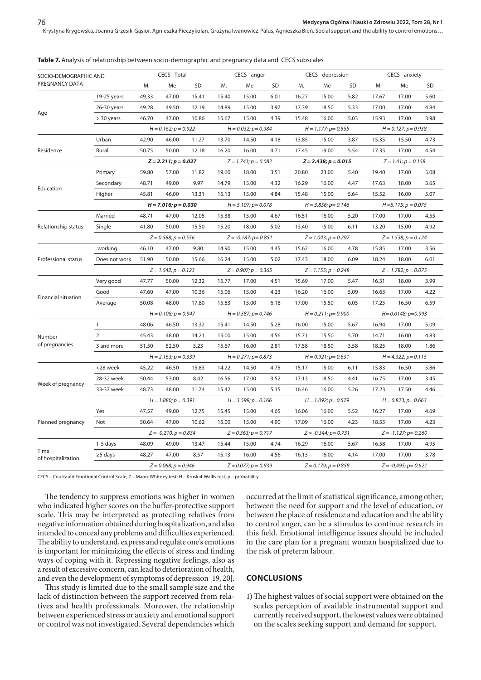Krystyna Krygowska, Joanna Grzesik-Gąsior, Agnieszka Pieczykolan, Grażyna Iwanowicz-Palus, Agnieszka Bień . Social support and the ability to control emotions…

#### **Table 7.** Analysis of relationship between socio-demographic and pregnancy data and CECS subscales

| SOCIO-DEMOGRAPHIC AND      |               | CECS - Total           |                            |           |                         | CECS - anger              |           |                           | CECS - depression          |      | CECS - anxiety             |                            |           |  |
|----------------------------|---------------|------------------------|----------------------------|-----------|-------------------------|---------------------------|-----------|---------------------------|----------------------------|------|----------------------------|----------------------------|-----------|--|
| PREGNANCY DATA             |               | M.                     | Me                         | <b>SD</b> | M.                      | Me                        | <b>SD</b> | M.                        | Me                         | SD   | M.                         | Me                         | <b>SD</b> |  |
|                            | 19-25 years   | 49.33                  | 47.00                      | 15.41     | 15.40                   | 15.00                     | 6.01      | 16.27                     | 15.00                      | 5.82 | 17.67                      | 17.00                      | 5.60      |  |
|                            | 26-30 years   | 49.28                  | 49.50                      | 12.19     | 14.89                   | 15.00                     | 3.97      | 17.39                     | 18.50                      | 5.33 | 17.00                      | 17.00                      | 4.84      |  |
| Age                        | $>$ 30 years  | 46.70                  | 47.00                      | 10.86     | 15.67                   | 15.00                     | 4.39      | 15.48                     | 16.00                      | 5.03 | 15.93                      | 17.00                      | 3.98      |  |
|                            |               |                        | $H = 0.162$ ; $p = 0.922$  |           |                         | $H = 0.032$ ; $p = 0.984$ |           |                           | $H = 1.177$ ; $p = 0.555$  |      |                            | $H = 0.127; p = 0.938$     |           |  |
|                            | Urban         | 42.90                  | 46.00                      | 11.27     | 13.70                   | 14.50                     | 4.18      | 13.85                     | 15.00                      | 3.87 | 15.35                      | 15.50                      | 4.73      |  |
| Residence                  | Rural         | 50.75                  | 50.00                      | 12.18     | 16.20                   | 16.00                     | 4.71      | 17.45                     | 19.00                      | 5.54 | 17.35                      | 17.00                      | 4.54      |  |
|                            |               | $Z = 2.211; p = 0.027$ |                            |           |                         | $Z = 1.741; p = 0.082$    |           |                           | $Z = 2.438; p = 0.015$     |      | $Z = 1.41; p = 0.158$      |                            |           |  |
|                            | Primary       | 59.80                  | 57.00                      | 11.82     | 19.60                   | 18.00                     | 3.51      | 20.80                     | 23.00                      | 5.40 | 19.40                      | 17.00                      | 5.08      |  |
|                            | Secondary     | 48.71                  | 49.00                      | 9.97      | 14.79                   | 15.00                     | 4.32      | 16.29                     | 16.00                      | 4.47 | 17.63                      | 18.00                      | 3.65      |  |
| Education                  | Higher        | 45.81                  | 46.00                      | 13.31     | 15.13                   | 15.00                     | 4.84      | 15.48                     | 15.00                      | 5.64 | 15.52                      | 16.00                      | 5.07      |  |
|                            |               |                        | $H = 7.016; p = 0.030$     |           |                         | $H = 5.107; p = 0.078$    |           |                           | $H = 3.856$ ; $p = 0.146$  |      | $H = 5.175; p = 0.075$     |                            |           |  |
|                            | Married       | 48.71                  | 47.00                      | 12.05     | 15.38                   | 15.00                     | 4.67      | 16.51                     | 16.00                      | 5.20 | 17.00                      | 17.00                      | 4.55      |  |
| Relationship status        | Single        | 41.80                  | 50.00                      | 15.50     | 15.20                   | 18.00                     | 5.02      | 13.40                     | 15.00                      | 6.11 | 13.20                      | 15.00                      | 4.92      |  |
|                            |               | $Z = 0.588; p = 0.556$ |                            |           | $Z = -0.187; p = 0.851$ |                           |           | $Z = 1.043; p = 0.297$    |                            |      | $Z = 1.538; p = 0.124$     |                            |           |  |
|                            | working       | 46.10                  | 47.00                      | 9.80      | 14.90                   | 15.00                     | 4.45      | 15.62                     | 16.00                      | 4.78 | 15.85                      | 17.00                      | 3.56      |  |
| Professional status        | Does not work | 51.90                  | 50.00                      | 15.66     | 16.24                   | 15.00                     | 5.02      | 17.43                     | 18.00                      | 6.09 | 18.24                      | 18.00                      | 6.01      |  |
|                            |               |                        | $Z = 1.542; p = 0.123$     |           |                         | $Z = 0.907; p = 0.365$    |           |                           | $Z = 1.155$ ; $p = 0.248$  |      |                            | $Z = 1.782; p = 0.075$     |           |  |
|                            | Very good     | 47.77                  | 50.00                      | 12.32     | 15.77                   | 17.00                     | 4.51      | 15.69                     | 17.00                      | 5.47 | 16.31                      | 18.00                      | 3.99      |  |
|                            | Good          | 47.60                  | 47.00                      | 10.36     | 15.06                   | 15.00                     | 4.23      | 16.20                     | 16.00                      | 5.09 | 16.63                      | 17.00                      | 4.22      |  |
| <b>Financial situation</b> | Average       | 50.08                  | 48.00                      | 17.80     | 15.83                   | 15.00                     | 6.18      | 17.00                     | 15.50                      | 6.05 | 17.25                      | 16.50                      | 6.59      |  |
|                            |               |                        | $H = 0.108; p = 0.947$     |           | $H = 0.587; p = 0.746$  |                           |           | $H = 0.211$ ; $p = 0.900$ |                            |      | $H = 0.0148$ ; $p = 0.993$ |                            |           |  |
|                            | $\mathbf{1}$  | 48.06                  | 46.50                      | 13.32     | 15.41                   | 14.50                     | 5.28      | 16.00                     | 15.00                      | 5.67 | 16.94                      | 17.00                      | 5.09      |  |
| Number                     | 2             | 45.43                  | 48.00                      | 14.21     | 15.00                   | 15.00                     | 4.56      | 15.71                     | 15.50                      | 5.70 | 14.71                      | 16.00                      | 4.83      |  |
| of pregnancies             | 3 and more    | 51.50                  | 52.50                      | 5.23      | 15.67                   | 16.00                     | 2.81      | 17.58                     | 18.50                      | 3.58 | 18.25                      | 18.00                      | 1.86      |  |
|                            |               |                        | $H = 2.163; p = 0.339$     |           |                         | $H = 0.271$ ; $p = 0.873$ |           |                           | $H = 0.921$ ; $p = 0.631$  |      |                            | $H = 4.322$ ; $p = 0.115$  |           |  |
|                            | <28 week      | 45.22                  | 46.50                      | 15.83     | 14.22                   | 14.50                     | 4.75      | 15.17                     | 15.00                      | 6.11 | 15.83                      | 16.50                      | 5.86      |  |
|                            | 28-32 week    | 50.44                  | 53.00                      | 8.42      | 16.56                   | 17.00                     | 3.52      | 17.13                     | 18.50                      | 4.41 | 16.75                      | 17.00                      | 3.45      |  |
| Week of pregnancy          | 33-37 week    | 48.73                  | 48.00                      | 11.74     | 15.42                   | 15.00                     | 5.15      | 16.46                     | 16.00                      | 5.26 | 17.23                      | 17.50                      | 4.46      |  |
|                            |               |                        | $H = 1.880; p = 0.391$     |           |                         | $H = 3.599$ ; $p = 0.166$ |           |                           | $H = 1.092$ ; $p = 0.579$  |      |                            | $H = 0.823$ ; $p = 0.663$  |           |  |
|                            | Yes           | 47.57                  | 49.00                      | 12.75     | 15.45                   | 15.00                     | 4.65      | 16.06                     | 16.00                      | 5.52 | 16.27                      | 17.00                      | 4.69      |  |
| Planned pregnancy          | Not           | 50.64                  | 47.00                      | 10.62     | 15.00                   | 15.00                     | 4.90      | 17.09                     | 16.00                      | 4.23 | 18.55                      | 17.00                      | 4.23      |  |
|                            |               |                        | $Z = -0.210$ ; $p = 0.834$ |           |                         | $Z = 0.363$ ; $p = 0.717$ |           |                           | $Z = -0.344$ ; $p = 0.731$ |      |                            | $Z = -1.127$ ; $p = 0.260$ |           |  |
|                            | $1-5$ days    | 48.09                  | 49.00                      | 13.47     | 15.44                   | 15.00                     | 4.74      | 16.29                     | 16.00                      | 5.67 | 16.58                      | 17.00                      | 4.95      |  |
| Time<br>of hospitalization | $\geq$ 5 days | 48.27                  | 47.00                      | 8.57      | 15.13                   | 16.00                     | 4.56      | 16.13                     | 16.00                      | 4.14 | 17.00                      | 17.00                      | 3.78      |  |
|                            |               |                        | $Z = 0.068$ ; $p = 0.946$  |           |                         | $Z = 0.077; p = 0.939$    |           |                           | $Z = 0.179$ ; $p = 0.858$  |      | $Z = -0.495$ ; $p = 0.621$ |                            |           |  |

CECS – Courtauld Emotional Control Scale; Z – Mann-Whitney test; H – Kruskal-Wallis test; p – probability

The tendency to suppress emotions was higher in women who indicated higher scores on the buffer-protective support scale. This may be interpreted as protecting relatives from negative information obtained during hospitalization, and also intended to conceal any problems and difficulties experienced. The ability to understand, express and regulate one's emotions is important for minimizing the effects of stress and finding ways of coping with it. Repressing negative feelings, also as a result of excessive concern, can lead to deterioration of health, and even the development of symptoms of depression [19, 20].

This study is limited due to the small sample size and the lack of distinction between the support received from relatives and health professionals. Moreover, the relationship between experienced stress or anxiety and emotional support or control was not investigated. Several dependencies which occurred at the limit of statistical significance, among other, between the need for support and the level of education, or between the place of residence and education and the ability to control anger, can be a stimulus to continue research in this field. Emotional intelligence issues should be included in the care plan for a pregnant woman hospitalized due to the risk of preterm labour.

## **CONCLUSIONS**

1)The highest values of social support were obtained on the scales perception of available instrumental support and currently received support, the lowest values were obtained on the scales seeking support and demand for support.